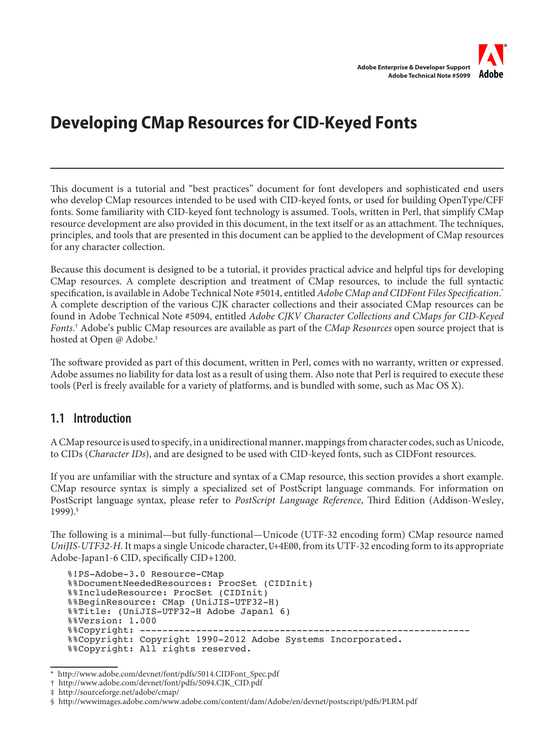

# **Developing CMap Resources for CID-Keyed Fonts**

This document is a tutorial and "best practices" document for font developers and sophisticated end users who develop CMap resources intended to be used with CID-keyed fonts, or used for building OpenType/CFF fonts. Some familiarity with CID-keyed font technology is assumed. Tools, written in Perl, that simplify CMap resource development are also provided in this document, in the text itself or as an attachment. The techniques, principles, and tools that are presented in this document can be applied to the development of CMap resources for any character collection.

Because this document is designed to be a tutorial, it provides practical advice and helpful tips for developing CMap resources. A complete description and treatment of CMap resources, to include the full syntactic specification, is available in Adobe Technical Note #5014, entitled *Adobe CMap and CIDFont Files Specification*. \* A complete description of the various CJK character collections and their associated CMap resources can be found in Adobe Technical Note #5094, entitled *Adobe CJKV Character Collections and CMaps for CID-Keyed Fonts*. † Adobe's public CMap resources are available as part of the *CMap Resources* open source project that is hosted at Open @ Adobe.‡

The software provided as part of this document, written in Perl, comes with no warranty, written or expressed. Adobe assumes no liability for data lost as a result of using them. Also note that Perl is required to execute these tools (Perl is freely available for a variety of platforms, and is bundled with some, such as Mac OS X).

### **1.1 Introduction**

A CMap resource is used to specify, in a unidirectional manner, mappings from character codes, such as Unicode, to CIDs (*Character IDs*), and are designed to be used with CID-keyed fonts, such as CIDFont resources.

If you are unfamiliar with the structure and syntax of a CMap resource, this section provides a short example. CMap resource syntax is simply a specialized set of PostScript language commands. For information on PostScript language syntax, please refer to *PostScript Language Reference*, Third Edition (Addison-Wesley, 1999).§

The following is a minimal—but fully-functional—Unicode (UTF-32 encoding form) CMap resource named *UniJIS-UTF32-H*. It maps a single Unicode character, U+4E00, from its UTF-32 encoding form to its appropriate Adobe-Japan1-6 CID, specifically CID+1200.

```
%!PS-Adobe-3.0 Resource-CMap
%%DocumentNeededResources: ProcSet (CIDInit)
%%IncludeResource: ProcSet (CIDInit)
%%BeginResource: CMap (UniJIS-UTF32-H)
%%Title: (UniJIS-UTF32-H Adobe Japan1 6)
%%Version: 1.000
%%Copyright: -----------------------------------------------------------
%%Copyright: Copyright 1990-2012 Adobe Systems Incorporated.
%%Copyright: All rights reserved.
```
http://www.adobe.com/devnet/font/pdfs/5014.CIDFont\_Spec.pdf

<sup>†</sup> http://www.adobe.com/devnet/font/pdfs/5094.CJK\_CID.pdf

<sup>‡</sup> http://sourceforge.net/adobe/cmap/

<sup>§</sup> http://wwwimages.adobe.com/www.adobe.com/content/dam/Adobe/en/devnet/postscript/pdfs/PLRM.pdf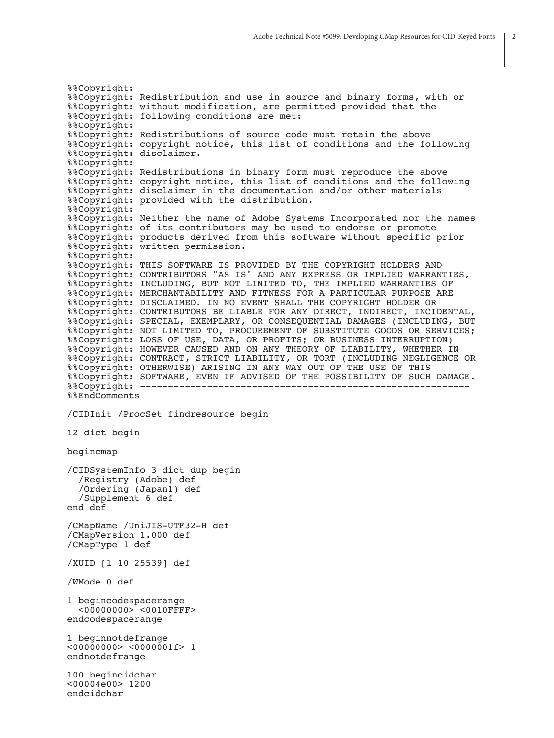%%Copyright: %%Copyright: Redistribution and use in source and binary forms, with or %%Copyright: without modification, are permitted provided that the %%Copyright: following conditions are met: %%Copyright: %%Copyright: Redistributions of source code must retain the above %%Copyright: copyright notice, this list of conditions and the following %%Copyright: disclaimer. %%Copyright: %%Copyright: Redistributions in binary form must reproduce the above %%Copyright: copyright notice, this list of conditions and the following %%Copyright: disclaimer in the documentation and/or other materials %%Copyright: provided with the distribution. %%Copyright: %%Copyright: Neither the name of Adobe Systems Incorporated nor the names %%Copyright: of its contributors may be used to endorse or promote %%Copyright: products derived from this software without specific prior %%Copyright: written permission. %%Copyright: %%Copyright: THIS SOFTWARE IS PROVIDED BY THE COPYRIGHT HOLDERS AND %%Copyright: CONTRIBUTORS "AS IS" AND ANY EXPRESS OR IMPLIED WARRANTIES, %%Copyright: INCLUDING, BUT NOT LIMITED TO, THE IMPLIED WARRANTIES OF %%Copyright: MERCHANTABILITY AND FITNESS FOR A PARTICULAR PURPOSE ARE %%Copyright: DISCLAIMED. IN NO EVENT SHALL THE COPYRIGHT HOLDER OR %%Copyright: CONTRIBUTORS BE LIABLE FOR ANY DIRECT, INDIRECT, INCIDENTAL, %%Copyright: SPECIAL, EXEMPLARY, OR CONSEQUENTIAL DAMAGES (INCLUDING, BUT %%Copyright: NOT LIMITED TO, PROCUREMENT OF SUBSTITUTE GOODS OR SERVICES; %%Copyright: LOSS OF USE, DATA, OR PROFITS; OR BUSINESS INTERRUPTION) %%Copyright: HOWEVER CAUSED AND ON ANY THEORY OF LIABILITY, WHETHER IN %%Copyright: CONTRACT, STRICT LIABILITY, OR TORT (INCLUDING NEGLIGENCE OR %%Copyright: OTHERWISE) ARISING IN ANY WAY OUT OF THE USE OF THIS %%Copyright: SOFTWARE, EVEN IF ADVISED OF THE POSSIBILITY OF SUCH DAMAGE. %%Copyright: ----------------------------------------------------------- %%EndComments /CIDInit /ProcSet findresource begin 12 dict begin begincmap /CIDSystemInfo 3 dict dup begin /Registry (Adobe) def /Ordering (Japan1) def /Supplement 6 def end def /CMapName /UniJIS-UTF32-H def /CMapVersion 1.000 def /CMapType 1 def /XUID [1 10 25539] def /WMode 0 def 1 begincodespacerange <00000000> <0010FFFF> endcodespacerange 1 beginnotdefrange <00000000> <0000001f> 1 endnotdefrange 100 begincidchar <00004e00> 1200 endcidchar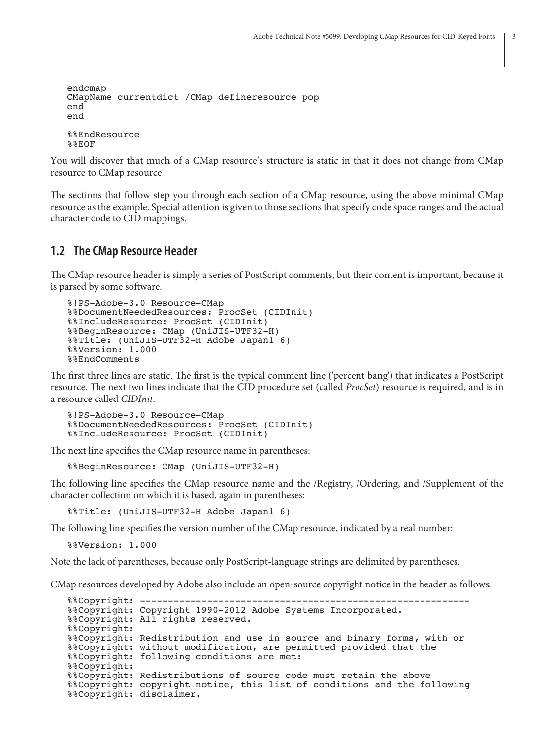```
endcmap
CMapName currentdict /CMap defineresource pop
end
end
%%EndResource
%%EOF
```
You will discover that much of a CMap resource's structure is static in that it does not change from CMap resource to CMap resource.

The sections that follow step you through each section of a CMap resource, using the above minimal CMap resource as the example. Special attention is given to those sections that specify code space ranges and the actual character code to CID mappings.

### **1.2 The CMap Resource Header**

The CMap resource header is simply a series of PostScript comments, but their content is important, because it is parsed by some software.

```
%!PS-Adobe-3.0 Resource-CMap
%%DocumentNeededResources: ProcSet (CIDInit)
%%IncludeResource: ProcSet (CIDInit)
%%BeginResource: CMap (UniJIS-UTF32-H)
%%Title: (UniJIS-UTF32-H Adobe Japan1 6)
%%Version: 1.000
%%EndComments
```
The first three lines are static. The first is the typical comment line ('percent bang') that indicates a PostScript resource. The next two lines indicate that the CID procedure set (called *ProcSet*) resource is required, and is in a resource called *CIDInit*.

```
%!PS-Adobe-3.0 Resource-CMap
%%DocumentNeededResources: ProcSet (CIDInit)
%%IncludeResource: ProcSet (CIDInit)
```
The next line specifies the CMap resource name in parentheses:

%%BeginResource: CMap (UniJIS-UTF32-H)

The following line specifies the CMap resource name and the /Registry, /Ordering, and /Supplement of the character collection on which it is based, again in parentheses:

%%Title: (UniJIS-UTF32-H Adobe Japan1 6)

The following line specifies the version number of the CMap resource, indicated by a real number:

%%Version: 1.000

Note the lack of parentheses, because only PostScript-language strings are delimited by parentheses.

CMap resources developed by Adobe also include an open-source copyright notice in the header as follows:

```
%%Copyright: -----------------------------------------------------------
%%Copyright: Copyright 1990-2012 Adobe Systems Incorporated.
%%Copyright: All rights reserved.
%%Copyright:
%%Copyright: Redistribution and use in source and binary forms, with or
%%Copyright: without modification, are permitted provided that the
%%Copyright: following conditions are met:
%%Copyright:
%%Copyright: Redistributions of source code must retain the above
%%Copyright: copyright notice, this list of conditions and the following
%%Copyright: disclaimer.
```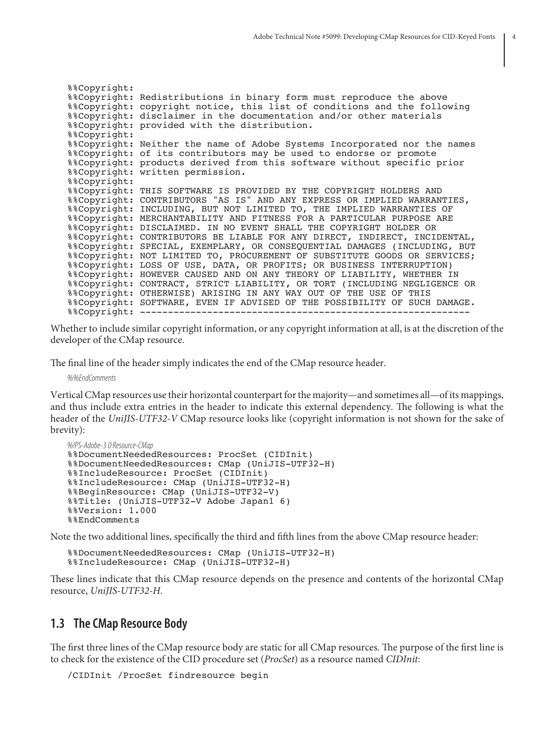```
%%Copyright:
%%Copyright: Redistributions in binary form must reproduce the above
%%Copyright: copyright notice, this list of conditions and the following
%%Copyright: disclaimer in the documentation and/or other materials
%%Copyright: provided with the distribution.
%%Copyright:
%%Copyright: Neither the name of Adobe Systems Incorporated nor the names
%%Copyright: of its contributors may be used to endorse or promote
%%Copyright: products derived from this software without specific prior
%%Copyright: written permission.
%%Copyright:
%%Copyright: THIS SOFTWARE IS PROVIDED BY THE COPYRIGHT HOLDERS AND
%%Copyright: CONTRIBUTORS "AS IS" AND ANY EXPRESS OR IMPLIED WARRANTIES,
%%Copyright: INCLUDING, BUT NOT LIMITED TO, THE IMPLIED WARRANTIES OF
%%Copyright: MERCHANTABILITY AND FITNESS FOR A PARTICULAR PURPOSE ARE
%%Copyright: DISCLAIMED. IN NO EVENT SHALL THE COPYRIGHT HOLDER OR
%%Copyright: CONTRIBUTORS BE LIABLE FOR ANY DIRECT, INDIRECT, INCIDENTAL,
%%Copyright: SPECIAL, EXEMPLARY, OR CONSEQUENTIAL DAMAGES (INCLUDING, BUT
%%Copyright: NOT LIMITED TO, PROCUREMENT OF SUBSTITUTE GOODS OR SERVICES;
%%Copyright: LOSS OF USE, DATA, OR PROFITS; OR BUSINESS INTERRUPTION)
%%Copyright: HOWEVER CAUSED AND ON ANY THEORY OF LIABILITY, WHETHER IN
%%Copyright: CONTRACT, STRICT LIABILITY, OR TORT (INCLUDING NEGLIGENCE OR
%%Copyright: OTHERWISE) ARISING IN ANY WAY OUT OF THE USE OF THIS
%%Copyright: SOFTWARE, EVEN IF ADVISED OF THE POSSIBILITY OF SUCH DAMAGE.
%%Copyright: -----------------------------------------------------------
```
Whether to include similar copyright information, or any copyright information at all, is at the discretion of the developer of the CMap resource.

The final line of the header simply indicates the end of the CMap resource header.

*%%EndComments*

Vertical CMap resources use their horizontal counterpart for the majority—and sometimes all—of its mappings, and thus include extra entries in the header to indicate this external dependency. The following is what the header of the *UniJIS-UTF32-V* CMap resource looks like (copyright information is not shown for the sake of brevity):

```
%!PS-Adobe-3.0 Resource-CMap
%%DocumentNeededResources: ProcSet (CIDInit)
%%DocumentNeededResources: CMap (UniJIS-UTF32-H)
%%IncludeResource: ProcSet (CIDInit)
%%IncludeResource: CMap (UniJIS-UTF32-H)
%%BeginResource: CMap (UniJIS-UTF32-V)
%%Title: (UniJIS-UTF32-V Adobe Japan1 6)
%%Version: 1.000
%%EndComments
```
Note the two additional lines, specifically the third and fifth lines from the above CMap resource header:

%%DocumentNeededResources: CMap (UniJIS-UTF32-H) %%IncludeResource: CMap (UniJIS-UTF32-H)

These lines indicate that this CMap resource depends on the presence and contents of the horizontal CMap resource, *UniJIS-UTF32-H*.

### **1.3 The CMap Resource Body**

The first three lines of the CMap resource body are static for all CMap resources. The purpose of the first line is to check for the existence of the CID procedure set (*ProcSet*) as a resource named *CIDInit*:

```
/CIDInit /ProcSet findresource begin
```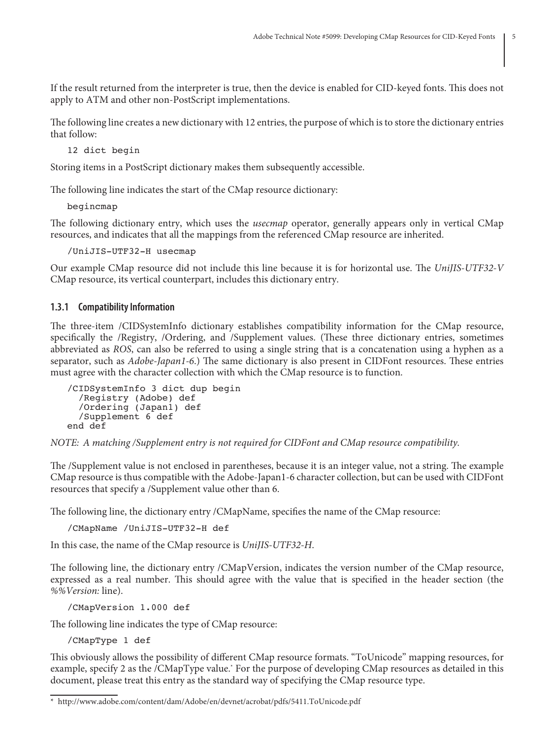If the result returned from the interpreter is true, then the device is enabled for CID-keyed fonts. This does not apply to ATM and other non-PostScript implementations.

The following line creates a new dictionary with 12 entries, the purpose of which is to store the dictionary entries that follow:

12 dict begin

Storing items in a PostScript dictionary makes them subsequently accessible.

The following line indicates the start of the CMap resource dictionary:

begincmap

The following dictionary entry, which uses the *usecmap* operator, generally appears only in vertical CMap resources, and indicates that all the mappings from the referenced CMap resource are inherited.

/UniJIS-UTF32-H usecmap

Our example CMap resource did not include this line because it is for horizontal use. The *UniJIS-UTF32-V* CMap resource, its vertical counterpart, includes this dictionary entry.

### **1.3.1 Compatibility Information**

The three-item /CIDSystemInfo dictionary establishes compatibility information for the CMap resource, specifically the /Registry, /Ordering, and /Supplement values. (These three dictionary entries, sometimes abbreviated as *ROS*, can also be referred to using a single string that is a concatenation using a hyphen as a separator, such as *Adobe-Japan1-6*.) The same dictionary is also present in CIDFont resources. These entries must agree with the character collection with which the CMap resource is to function.

```
/CIDSystemInfo 3 dict dup begin
 /Registry (Adobe) def
 /Ordering (Japan1) def
   /Supplement 6 def
end def
```
*NOTE: A matching /Supplement entry is not required for CIDFont and CMap resource compatibility.*

The /Supplement value is not enclosed in parentheses, because it is an integer value, not a string. The example CMap resource is thus compatible with the Adobe-Japan1-6 character collection, but can be used with CIDFont resources that specify a /Supplement value other than 6.

The following line, the dictionary entry /CMapName, specifies the name of the CMap resource:

```
/CMapName /UniJIS-UTF32-H def
```
In this case, the name of the CMap resource is *UniJIS-UTF32-H*.

The following line, the dictionary entry /CMapVersion, indicates the version number of the CMap resource, expressed as a real number. This should agree with the value that is specified in the header section (the *%%Version:* line).

/CMapVersion 1.000 def

The following line indicates the type of CMap resource:

/CMapType 1 def

This obviously allows the possibility of different CMap resource formats. "ToUnicode" mapping resources, for example, specify 2 as the /CMapType value.\* For the purpose of developing CMap resources as detailed in this document, please treat this entry as the standard way of specifying the CMap resource type.

<sup>\*</sup> http://www.adobe.com/content/dam/Adobe/en/devnet/acrobat/pdfs/5411.ToUnicode.pdf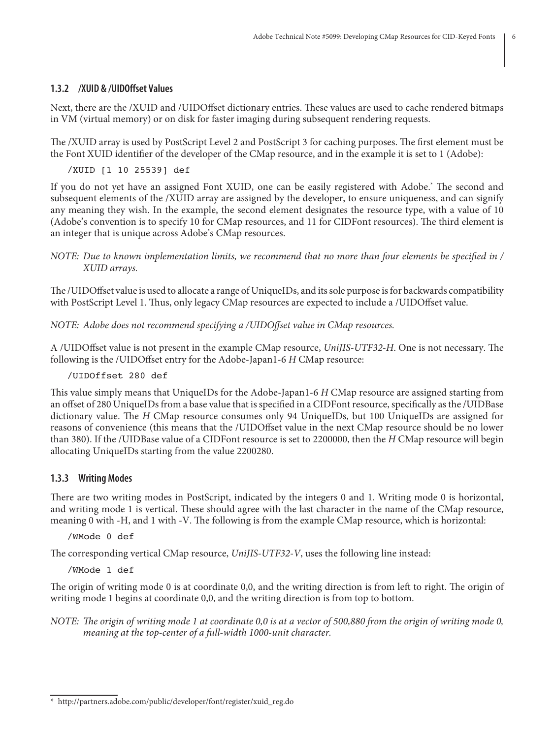### **1.3.2 /XUID & /UIDOffset Values**

Next, there are the /XUID and /UIDOffset dictionary entries. These values are used to cache rendered bitmaps in VM (virtual memory) or on disk for faster imaging during subsequent rendering requests.

The /XUID array is used by PostScript Level 2 and PostScript 3 for caching purposes. The first element must be the Font XUID identifier of the developer of the CMap resource, and in the example it is set to 1 (Adobe):

/XUID [1 10 25539] def

If you do not yet have an assigned Font XUID, one can be easily registered with Adobe.\* The second and subsequent elements of the /XUID array are assigned by the developer, to ensure uniqueness, and can signify any meaning they wish. In the example, the second element designates the resource type, with a value of 10 (Adobe's convention is to specify 10 for CMap resources, and 11 for CIDFont resources). The third element is an integer that is unique across Adobe's CMap resources.

*NOTE: Due to known implementation limits, we recommend that no more than four elements be specified in / XUID arrays.*

The /UIDOffset value is used to allocate a range of UniqueIDs, and its sole purpose is for backwards compatibility with PostScript Level 1. Thus, only legacy CMap resources are expected to include a /UIDOffset value.

*NOTE: Adobe does not recommend specifying a /UIDOffset value in CMap resources.*

A /UIDOffset value is not present in the example CMap resource, *UniJIS-UTF32-H*. One is not necessary. The following is the /UIDOffset entry for the Adobe-Japan1-6 *H* CMap resource:

### /UIDOffset 280 def

This value simply means that UniqueIDs for the Adobe-Japan1-6 *H* CMap resource are assigned starting from an offset of 280 UniqueIDs from a base value that is specified in a CIDFont resource, specifically as the /UIDBase dictionary value. The *H* CMap resource consumes only 94 UniqueIDs, but 100 UniqueIDs are assigned for reasons of convenience (this means that the /UIDOffset value in the next CMap resource should be no lower than 380). If the /UIDBase value of a CIDFont resource is set to 2200000, then the *H* CMap resource will begin allocating UniqueIDs starting from the value 2200280.

#### **1.3.3 Writing Modes**

There are two writing modes in PostScript, indicated by the integers 0 and 1. Writing mode 0 is horizontal, and writing mode 1 is vertical. These should agree with the last character in the name of the CMap resource, meaning 0 with -H, and 1 with -V. The following is from the example CMap resource, which is horizontal:

/WMode 0 def

The corresponding vertical CMap resource, *UniJIS-UTF32-V*, uses the following line instead:

/WMode 1 def

The origin of writing mode 0 is at coordinate 0,0, and the writing direction is from left to right. The origin of writing mode 1 begins at coordinate 0,0, and the writing direction is from top to bottom.

*NOTE: The origin of writing mode 1 at coordinate 0,0 is at a vector of 500,880 from the origin of writing mode 0, meaning at the top-center of a full-width 1000-unit character.*

<sup>\*</sup> http://partners.adobe.com/public/developer/font/register/xuid\_reg.do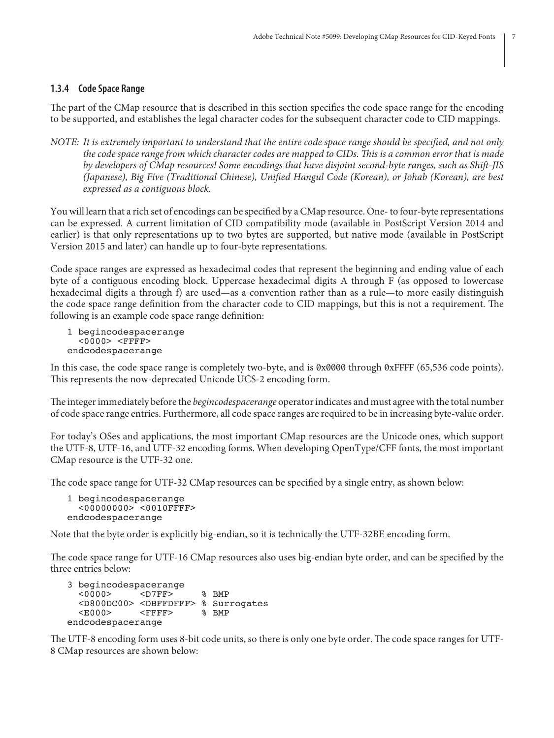### **1.3.4 Code Space Range**

The part of the CMap resource that is described in this section specifies the code space range for the encoding to be supported, and establishes the legal character codes for the subsequent character code to CID mappings.

*NOTE: It is extremely important to understand that the entire code space range should be specified, and not only the code space range from which character codes are mapped to CIDs. This is a common error that is made by developers of CMap resources! Some encodings that have disjoint second-byte ranges, such as Shift-JIS (Japanese), Big Five (Traditional Chinese), Unified Hangul Code (Korean), or Johab (Korean), are best expressed as a contiguous block.*

You will learn that a rich set of encodings can be specified by a CMap resource. One- to four-byte representations can be expressed. A current limitation of CID compatibility mode (available in PostScript Version 2014 and earlier) is that only representations up to two bytes are supported, but native mode (available in PostScript Version 2015 and later) can handle up to four-byte representations.

Code space ranges are expressed as hexadecimal codes that represent the beginning and ending value of each byte of a contiguous encoding block. Uppercase hexadecimal digits A through F (as opposed to lowercase hexadecimal digits a through f) are used—as a convention rather than as a rule—to more easily distinguish the code space range definition from the character code to CID mappings, but this is not a requirement. The following is an example code space range definition:

1 begincodespacerange <0000> <FFFF> endcodespacerange

In this case, the code space range is completely two-byte, and is 0x0000 through 0xFFFF (65,536 code points). This represents the now-deprecated Unicode UCS-2 encoding form.

The integer immediately before the *begincodespacerange* operator indicates and must agree with the total number of code space range entries. Furthermore, all code space ranges are required to be in increasing byte-value order.

For today's OSes and applications, the most important CMap resources are the Unicode ones, which support the UTF-8, UTF-16, and UTF-32 encoding forms. When developing OpenType/CFF fonts, the most important CMap resource is the UTF-32 one.

The code space range for UTF-32 CMap resources can be specified by a single entry, as shown below:

```
1 begincodespacerange
   <00000000> <0010FFFF>
endcodespacerange
```
Note that the byte order is explicitly big-endian, so it is technically the UTF-32BE encoding form.

The code space range for UTF-16 CMap resources also uses big-endian byte order, and can be specified by the three entries below:

```
3 begincodespacerange
   <0000> <D7FF> % BMP
  <D800DC00> <DBFFDFFF> % Surrogates<br>
<E000> <FFFF> % BMP
          <FFFF>
endcodespacerange
```
The UTF-8 encoding form uses 8-bit code units, so there is only one byte order. The code space ranges for UTF-8 CMap resources are shown below: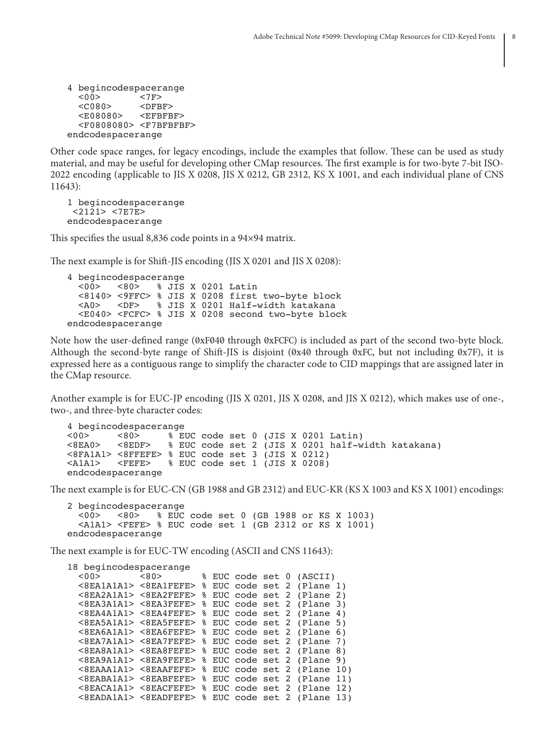```
4 begincodespacerange
              <7F><br><DFBF>
  <C080> <E08080> <EFBFBF>
   <F0808080> <F7BFBFBF>
endcodespacerange
```
Other code space ranges, for legacy encodings, include the examples that follow. These can be used as study material, and may be useful for developing other CMap resources. The first example is for two-byte 7-bit ISO-2022 encoding (applicable to JIS X 0208, JIS X 0212, GB 2312, KS X 1001, and each individual plane of CNS 11643):

```
1 begincodespacerange
  <2121> <7E7E>
endcodespacerange
```
This specifies the usual 8,836 code points in a 94×94 matrix.

The next example is for Shift-JIS encoding (JIS X 0201 and JIS X 0208):

4 begincodespacerange<br>1315 × 100> × 160> % JIS X 0201 Latin <8140> <9FFC> % JIS X 0208 first two-byte block % JIS X 0201 Half-width katakana <E040> <FCFC> % JIS X 0208 second two-byte block endcodespacerange

Note how the user-defined range (0xF040 through 0xFCFC) is included as part of the second two-byte block. Although the second-byte range of Shift-JIS is disjoint (0x40 through 0xFC, but not including 0x7F), it is expressed here as a contiguous range to simplify the character code to CID mappings that are assigned later in the CMap resource.

Another example is for EUC-JP encoding (JIS X 0201, JIS X 0208, and JIS X 0212), which makes use of one-, two-, and three-byte character codes:

```
4 begincodespacerange<br>
<0.05 <8.05 < \frac{1}{2} \frac{1}{2} \frac{1}{2}<00> <80> % EUC code set 0 (JIS X 0201 Latin)<br>
<8EDF> % EUC code set 2 (JIS X 0201 half-w
          <8EDF> % EUC code set 2 (JIS X 0201 half-width katakana)
<8FA1A1> <8FFEFE> % EUC code set 3 (JIS X 0212)
<A1A1> <FEFE> % EUC code set 1 (JIS X 0208)
endcodespacerange
```
The next example is for EUC-CN (GB 1988 and GB 2312) and EUC-KR (KS X 1003 and KS X 1001) encodings:

```
2 begincodespacerange
  <00> <80> % EUC code set 0 (GB 1988 or KS X 1003)
  <A1A1> <FEFE> % EUC code set 1 (GB 2312 or KS X 1001)
endcodespacerange
```
The next example is for EUC-TW encoding (ASCII and CNS 11643):

```
18 begincodespacerange<br>
<00> <00>
                        % EUC code set 0 (ASCII)
   <8EA1A1A1> <8EA1FEFE> % EUC code set 2 (Plane 1)
   <8EA2A1A1> <8EA2FEFE> % EUC code set 2 (Plane 2)
  \langle8EA3A1A1> \langle8EA3FEFE> % EUC code set 2 (Plane 3)
   <8EA4A1A1> <8EA4FEFE> % EUC code set 2 (Plane 4)
   <8EA5A1A1> <8EA5FEFE> % EUC code set 2 (Plane 5)
   <8EA6A1A1> <8EA6FEFE> % EUC code set 2 (Plane 6)
   <8EA7A1A1> <8EA7FEFE> % EUC code set 2 (Plane 7)
  \langle8EA8A1A1> \langle8EA8FEFE> % EUC code set 2 (Plane 8)
   <8EA9A1A1> <8EA9FEFE> % EUC code set 2 (Plane 9)
   <8EAAA1A1> <8EAAFEFE> % EUC code set 2 (Plane 10)
   <8EABA1A1> <8EABFEFE> % EUC code set 2 (Plane 11)
   <8EACA1A1> <8EACFEFE> % EUC code set 2 (Plane 12)
   <8EADA1A1> <8EADFEFE> % EUC code set 2 (Plane 13)
```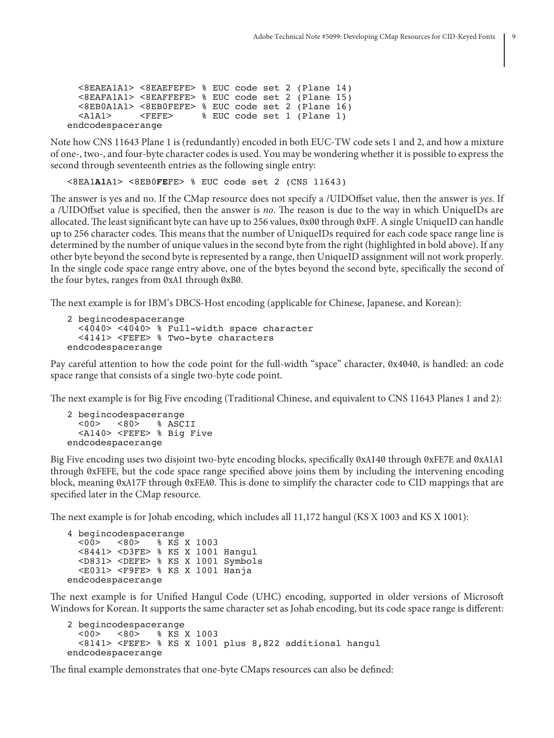```
 <8EAEA1A1> <8EAEFEFE> % EUC code set 2 (Plane 14)
 \langle8EAFA1A1> \langle8EAFFEFE> % EUC code set 2 (Plane 15)
  <8EB0A1A1> <8EB0FEFE> % EUC code set 2 (Plane 16)
  <A1A1> <FEFE> % EUC code set 1 (Plane 1)
endcodespacerange
```
Note how CNS 11643 Plane 1 is (redundantly) encoded in both EUC-TW code sets 1 and 2, and how a mixture of one-, two-, and four-byte character codes is used. You may be wondering whether it is possible to express the second through seventeenth entries as the following single entry:

<8EA1**A1**A1> <8EB0**FE**FE> % EUC code set 2 (CNS 11643)

The answer is yes and no. If the CMap resource does not specify a /UIDOffset value, then the answer is *yes*. If a /UIDOffset value is specified, then the answer is *no*. The reason is due to the way in which UniqueIDs are allocated. The least significant byte can have up to 256 values, 0x00 through 0xFF. A single UniqueID can handle up to 256 character codes. This means that the number of UniqueIDs required for each code space range line is determined by the number of unique values in the second byte from the right (highlighted in bold above). If any other byte beyond the second byte is represented by a range, then UniqueID assignment will not work properly. In the single code space range entry above, one of the bytes beyond the second byte, specifically the second of the four bytes, ranges from 0xA1 through 0xB0.

The next example is for IBM's DBCS-Host encoding (applicable for Chinese, Japanese, and Korean):

```
2 begincodespacerange
   <4040> <4040> % Full-width space character
   <4141> <FEFE> % Two-byte characters
endcodespacerange
```
Pay careful attention to how the code point for the full-width "space" character, 0x4040, is handled: an code space range that consists of a single two-byte code point.

The next example is for Big Five encoding (Traditional Chinese, and equivalent to CNS 11643 Planes 1 and 2):

```
2 begincodespacerange<br>
<00>
<80>
% ASC
                  % ASCII
   <A140> <FEFE> % Big Five
endcodespacerange
```
Big Five encoding uses two disjoint two-byte encoding blocks, specifically 0xA140 through 0xFE7E and 0xA1A1 through 0xFEFE, but the code space range specified above joins them by including the intervening encoding block, meaning 0xA17F through 0xFEA0. This is done to simplify the character code to CID mappings that are specified later in the CMap resource.

The next example is for Johab encoding, which includes all 11,172 hangul (KS X 1003 and KS X 1001):

```
4 begincodespacerange<br>
<00> <80> % KS
                % KS X 1003
   <8441> <D3FE> % KS X 1001 Hangul
   <D831> <DEFE> % KS X 1001 Symbols
   <E031> <F9FE> % KS X 1001 Hanja
endcodespacerange
```
The next example is for Unified Hangul Code (UHC) encoding, supported in older versions of Microsoft Windows for Korean. It supports the same character set as Johab encoding, but its code space range is different:

```
2 begincodespacerange<br>
<00> <80> % KS
                % KS X 1003
   <8141> <FEFE> % KS X 1001 plus 8,822 additional hangul
endcodespacerange
```
The final example demonstrates that one-byte CMaps resources can also be defined: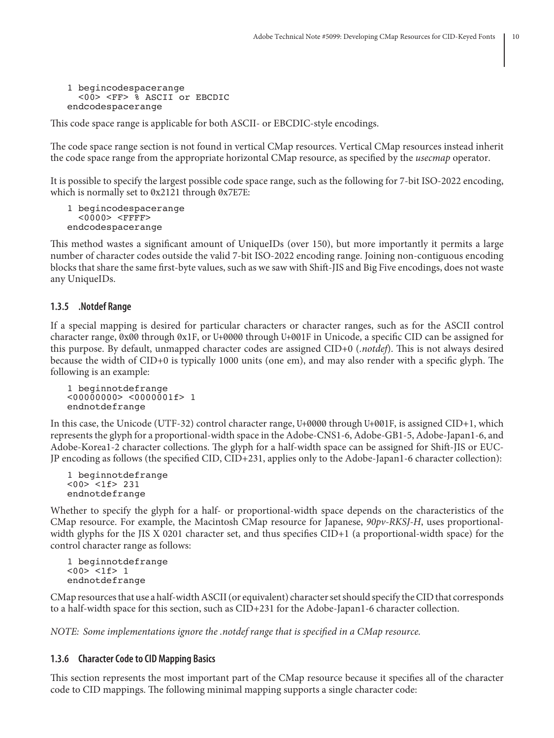```
1 begincodespacerange
   <00> <FF> % ASCII or EBCDIC
endcodespacerange
```
This code space range is applicable for both ASCII- or EBCDIC-style encodings.

The code space range section is not found in vertical CMap resources. Vertical CMap resources instead inherit the code space range from the appropriate horizontal CMap resource, as specified by the *usecmap* operator.

It is possible to specify the largest possible code space range, such as the following for 7-bit ISO-2022 encoding, which is normally set to 0x2121 through 0x7E7E:

```
1 begincodespacerange
   <0000> <FFFF>
endcodespacerange
```
This method wastes a significant amount of UniqueIDs (over 150), but more importantly it permits a large number of character codes outside the valid 7-bit ISO-2022 encoding range. Joining non-contiguous encoding blocks that share the same first-byte values, such as we saw with Shift-JIS and Big Five encodings, does not waste any UniqueIDs.

### **1.3.5 .Notdef Range**

If a special mapping is desired for particular characters or character ranges, such as for the ASCII control character range, 0x00 through 0x1F, or U+0000 through U+001F in Unicode, a specific CID can be assigned for this purpose. By default, unmapped character codes are assigned CID+0 (*.notdef*). This is not always desired because the width of CID+0 is typically 1000 units (one em), and may also render with a specific glyph. The following is an example:

```
1 beginnotdefrange
<00000000> <0000001f> 1
endnotdefrange
```
In this case, the Unicode (UTF-32) control character range, U+0000 through U+001F, is assigned CID+1, which represents the glyph for a proportional-width space in the Adobe-CNS1-6, Adobe-GB1-5, Adobe-Japan1-6, and Adobe-Korea1-2 character collections. The glyph for a half-width space can be assigned for Shift-JIS or EUC-JP encoding as follows (the specified CID, CID+231, applies only to the Adobe-Japan1-6 character collection):

```
1 beginnotdefrange
<00> <1f> 231
endnotdefrange
```
Whether to specify the glyph for a half- or proportional-width space depends on the characteristics of the CMap resource. For example, the Macintosh CMap resource for Japanese, *90pv-RKSJ-H*, uses proportionalwidth glyphs for the JIS X 0201 character set, and thus specifies CID+1 (a proportional-width space) for the control character range as follows:

1 beginnotdefrange <00> <1f> 1 endnotdefrange

CMap resources that use a half-width ASCII (or equivalent) character set should specify the CID that corresponds to a half-width space for this section, such as CID+231 for the Adobe-Japan1-6 character collection.

*NOTE: Some implementations ignore the .notdef range that is specified in a CMap resource.*

### **1.3.6 Character Code to CID Mapping Basics**

This section represents the most important part of the CMap resource because it specifies all of the character code to CID mappings. The following minimal mapping supports a single character code: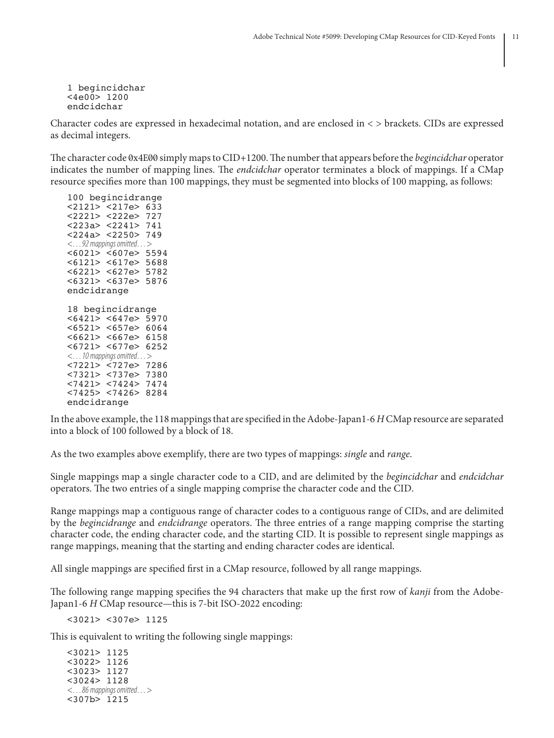1 begincidchar <4e00> 1200 endcidchar

Character codes are expressed in hexadecimal notation, and are enclosed in < > brackets. CIDs are expressed as decimal integers.

The character code 0x4E00 simply maps to CID+1200. The number that appears before the *begincidchar* operator indicates the number of mapping lines. The *endcidchar* operator terminates a block of mappings. If a CMap resource specifies more than 100 mappings, they must be segmented into blocks of 100 mapping, as follows:

100 begincidrange <2121> <217e> 633 <2221> <222e> 727 <223a> <2241> 741 <224a> <2250> 749 *<…92 mappings omitted…>* <6021> <607e> 5594 <6121> <617e> 5688 <6221> <627e> 5782 <6321> <637e> 5876 endcidrange 18 begincidrange <6421> <647e> 5970 <6521> <657e> 6064 <6621> <667e> 6158 <6721> <677e> 6252 *<…10 mappings omitted…>* <7221> <727e> 7286 <7321> <737e> 7380 <7421> <7424> 7474 <7425> <7426> 8284 endcidrange

In the above example, the 118 mappings that are specified in the Adobe-Japan1-6 *H* CMap resource are separated into a block of 100 followed by a block of 18.

As the two examples above exemplify, there are two types of mappings: *single* and *range*.

Single mappings map a single character code to a CID, and are delimited by the *begincidchar* and *endcidchar* operators. The two entries of a single mapping comprise the character code and the CID.

Range mappings map a contiguous range of character codes to a contiguous range of CIDs, and are delimited by the *begincidrange* and *endcidrange* operators. The three entries of a range mapping comprise the starting character code, the ending character code, and the starting CID. It is possible to represent single mappings as range mappings, meaning that the starting and ending character codes are identical.

All single mappings are specified first in a CMap resource, followed by all range mappings.

The following range mapping specifies the 94 characters that make up the first row of *kanji* from the Adobe-Japan1-6 *H* CMap resource—this is 7-bit ISO-2022 encoding:

<3021> <307e> 1125

This is equivalent to writing the following single mappings:

```
<3021> 1125
<3022> 1126
<3023> 1127
<3024> 1128
<…86 mappings omitted…>
<307b> 1215
```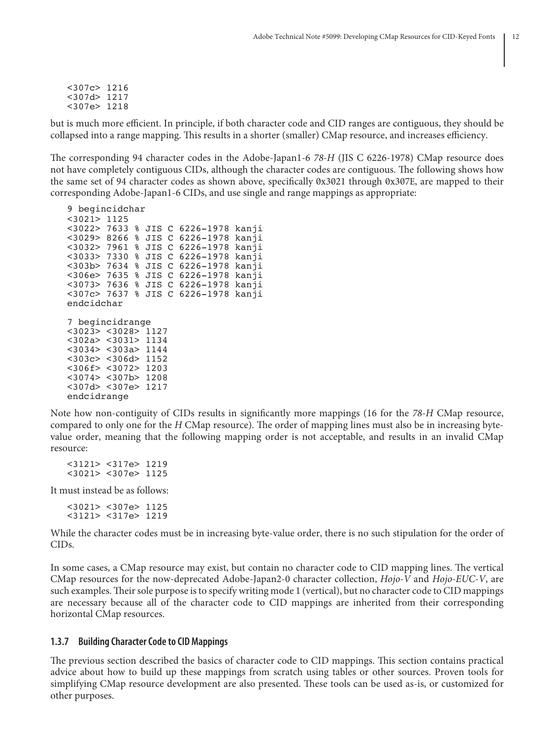<307c> 1216 <307d> 1217 <307e> 1218

but is much more efficient. In principle, if both character code and CID ranges are contiguous, they should be collapsed into a range mapping. This results in a shorter (smaller) CMap resource, and increases efficiency.

The corresponding 94 character codes in the Adobe-Japan1-6 *78-H* (JIS C 6226-1978) CMap resource does not have completely contiguous CIDs, although the character codes are contiguous. The following shows how the same set of 94 character codes as shown above, specifically 0x3021 through 0x307E, are mapped to their corresponding Adobe-Japan1-6 CIDs, and use single and range mappings as appropriate:

9 begincidchar <3021> 1125 <3022> 7633 % JIS C 6226-1978 kanji <3029> 8266 % JIS C 6226-1978 kanji <3032> 7961 % JIS C 6226-1978 kanji <3033> 7330 % JIS C 6226-1978 kanji <303b> 7634 % JIS C 6226-1978 kanji <306e> 7635 % JIS C 6226-1978 kanji <3073> 7636 % JIS C 6226-1978 kanji <307c> 7637 % JIS C 6226-1978 kanji endcidchar 7 begincidrange <3023> <3028> 1127 <302a> <3031> 1134 <3034> <303a> 1144 <303c> <306d> 1152 <306f> <3072> 1203 <3074> <307b> 1208 <307d> <307e> 1217 endcidrange

Note how non-contiguity of CIDs results in significantly more mappings (16 for the *78-H* CMap resource, compared to only one for the *H* CMap resource). The order of mapping lines must also be in increasing bytevalue order, meaning that the following mapping order is not acceptable, and results in an invalid CMap resource:

<3121> <317e> 1219 <3021> <307e> 1125

It must instead be as follows:

<3021> <307e> 1125 <3121> <317e> 1219

While the character codes must be in increasing byte-value order, there is no such stipulation for the order of CIDs.

In some cases, a CMap resource may exist, but contain no character code to CID mapping lines. The vertical CMap resources for the now-deprecated Adobe-Japan2-0 character collection, *Hojo-V* and *Hojo-EUC-V*, are such examples. Their sole purpose is to specify writing mode 1 (vertical), but no character code to CID mappings are necessary because all of the character code to CID mappings are inherited from their corresponding horizontal CMap resources.

#### **1.3.7 Building Character Code to CID Mappings**

The previous section described the basics of character code to CID mappings. This section contains practical advice about how to build up these mappings from scratch using tables or other sources. Proven tools for simplifying CMap resource development are also presented. These tools can be used as-is, or customized for other purposes.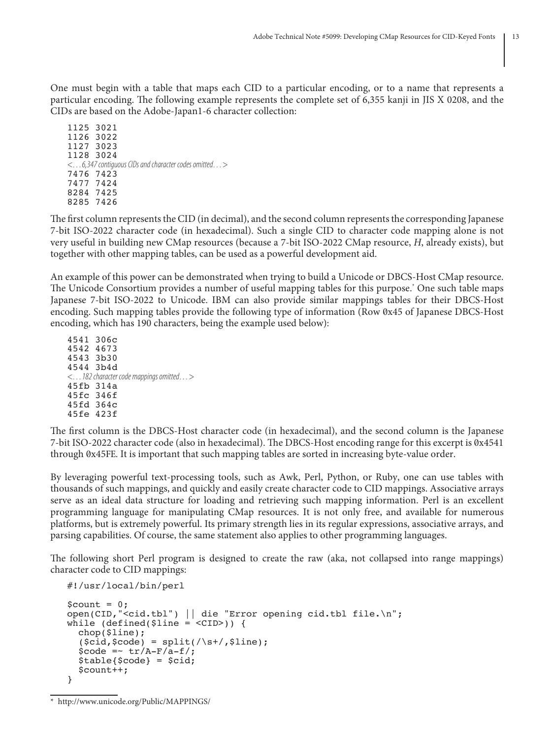One must begin with a table that maps each CID to a particular encoding, or to a name that represents a particular encoding. The following example represents the complete set of 6,355 kanji in JIS X 0208, and the CIDs are based on the Adobe-Japan1-6 character collection:

1125 3021 1126 3022 1127 3023 1128 3024 *<…6,347 contiguous CIDs and character codes omitted…>* 7476 7423 7477 7424 8284 7425 8285 7426

The first column represents the CID (in decimal), and the second column represents the corresponding Japanese 7-bit ISO-2022 character code (in hexadecimal). Such a single CID to character code mapping alone is not very useful in building new CMap resources (because a 7-bit ISO-2022 CMap resource, *H*, already exists), but together with other mapping tables, can be used as a powerful development aid.

An example of this power can be demonstrated when trying to build a Unicode or DBCS-Host CMap resource. The Unicode Consortium provides a number of useful mapping tables for this purpose.\* One such table maps Japanese 7-bit ISO-2022 to Unicode. IBM can also provide similar mappings tables for their DBCS-Host encoding. Such mapping tables provide the following type of information (Row 0x45 of Japanese DBCS-Host encoding, which has 190 characters, being the example used below):

4541 306c 4542 4673 4543 3b30 4544 3b4d *<…182 character code mappings omitted…>* 45fb 314a 45fc 346f 45fd 364c 45fe 423f

The first column is the DBCS-Host character code (in hexadecimal), and the second column is the Japanese 7-bit ISO-2022 character code (also in hexadecimal). The DBCS-Host encoding range for this excerpt is 0x4541 through 0x45FE. It is important that such mapping tables are sorted in increasing byte-value order.

By leveraging powerful text-processing tools, such as Awk, Perl, Python, or Ruby, one can use tables with thousands of such mappings, and quickly and easily create character code to CID mappings. Associative arrays serve as an ideal data structure for loading and retrieving such mapping information. Perl is an excellent programming language for manipulating CMap resources. It is not only free, and available for numerous platforms, but is extremely powerful. Its primary strength lies in its regular expressions, associative arrays, and parsing capabilities. Of course, the same statement also applies to other programming languages.

The following short Perl program is designed to create the raw (aka, not collapsed into range mappings) character code to CID mappings:

```
#!/usr/local/bin/perl
$count = 0;open(CID,"<cid.tbl") || die "Error opening cid.tbl file.\n";
while (defined(Sline = <CID>) {
   chop($line);
  (\text{scid}, \text{score}) = \text{split}(\text{S}, \text{line});\text{Scode} = \text{tr}/\text{A-F}/\text{a-f}/;
  $table{$code} = $cid;
   $count++;
}
```
<sup>\*</sup> http://www.unicode.org/Public/MAPPINGS/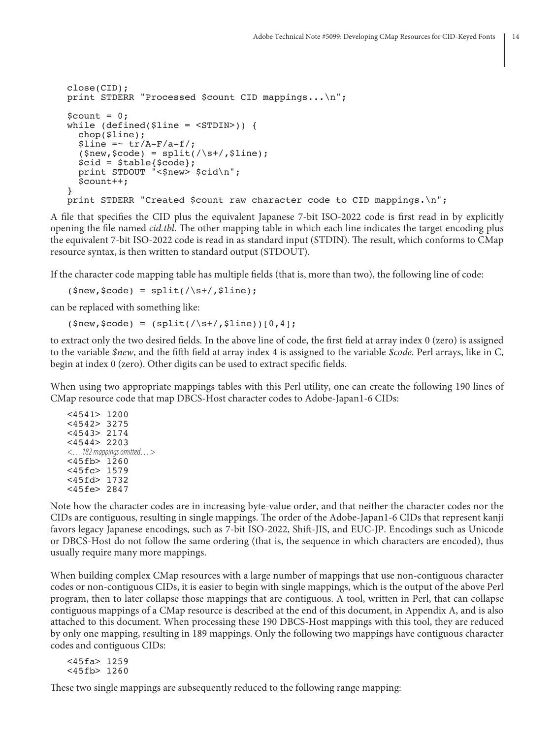```
close(CID);
print STDERR "Processed $count CID mappings...\n";
{\tt Scount} = 0:
while (defined(Sline = <STDIN) ) {
   chop($line);
  $line = - tr/A-F/a-f/;(snew, \text{Scode}) = split(\text{S++}, \text{Sline}); $cid = $table{$code};
 print STDOUT "<$new> $cid\n";
   $count++;
}
print STDERR "Created $count raw character code to CID mappings.\n";
```
A file that specifies the CID plus the equivalent Japanese 7-bit ISO-2022 code is first read in by explicitly opening the file named *cid.tbl*. The other mapping table in which each line indicates the target encoding plus the equivalent 7-bit ISO-2022 code is read in as standard input (STDIN). The result, which conforms to CMap resource syntax, is then written to standard output (STDOUT).

If the character code mapping table has multiple fields (that is, more than two), the following line of code:

 $(\text{şnew}, \text{şcode}) = \text{split}(\text{ds+}, \text{şline});$ 

can be replaced with something like:

 $(\text{Shew}, \text{Scode}) = (\text{split}(\text{S}) + (\text{}% \text{S}) \cdot \frac{1}{2}$ 

to extract only the two desired fields. In the above line of code, the first field at array index 0 (zero) is assigned to the variable *\$new*, and the fifth field at array index 4 is assigned to the variable *\$code*. Perl arrays, like in C, begin at index 0 (zero). Other digits can be used to extract specific fields.

When using two appropriate mappings tables with this Perl utility, one can create the following 190 lines of CMap resource code that map DBCS-Host character codes to Adobe-Japan1-6 CIDs:

<4541> 1200 <4542> 3275 <4543> 2174 <4544> 2203 *<…182 mappings omitted…>* <45fb> 1260 <45fc> 1579 <45fd> 1732 <45fe> 2847

Note how the character codes are in increasing byte-value order, and that neither the character codes nor the CIDs are contiguous, resulting in single mappings. The order of the Adobe-Japan1-6 CIDs that represent kanji favors legacy Japanese encodings, such as 7-bit ISO-2022, Shift-JIS, and EUC-JP. Encodings such as Unicode or DBCS-Host do not follow the same ordering (that is, the sequence in which characters are encoded), thus usually require many more mappings.

When building complex CMap resources with a large number of mappings that use non-contiguous character codes or non-contiguous CIDs, it is easier to begin with single mappings, which is the output of the above Perl program, then to later collapse those mappings that are contiguous. A tool, written in Perl, that can collapse contiguous mappings of a CMap resource is described at the end of this document, in Appendix A, and is also attached to this document. When processing these 190 DBCS-Host mappings with this tool, they are reduced by only one mapping, resulting in 189 mappings. Only the following two mappings have contiguous character codes and contiguous CIDs:

<45fa> 1259 <45fb> 1260

These two single mappings are subsequently reduced to the following range mapping: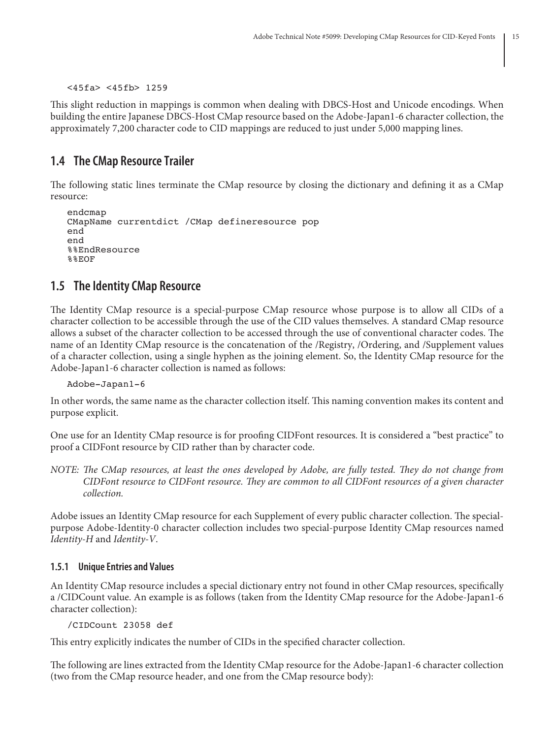```
<45fa> <45fb> 1259
```
This slight reduction in mappings is common when dealing with DBCS-Host and Unicode encodings. When building the entire Japanese DBCS-Host CMap resource based on the Adobe-Japan1-6 character collection, the approximately 7,200 character code to CID mappings are reduced to just under 5,000 mapping lines.

## **1.4 The CMap Resource Trailer**

The following static lines terminate the CMap resource by closing the dictionary and defining it as a CMap resource:

```
endcmap
CMapName currentdict /CMap defineresource pop
end
end
%%EndResource
%%EOF
```
## **1.5 The Identity CMap Resource**

The Identity CMap resource is a special-purpose CMap resource whose purpose is to allow all CIDs of a character collection to be accessible through the use of the CID values themselves. A standard CMap resource allows a subset of the character collection to be accessed through the use of conventional character codes. The name of an Identity CMap resource is the concatenation of the /Registry, /Ordering, and /Supplement values of a character collection, using a single hyphen as the joining element. So, the Identity CMap resource for the Adobe-Japan1-6 character collection is named as follows:

Adobe-Japan1-6

In other words, the same name as the character collection itself. This naming convention makes its content and purpose explicit.

One use for an Identity CMap resource is for proofing CIDFont resources. It is considered a "best practice" to proof a CIDFont resource by CID rather than by character code.

*NOTE: The CMap resources, at least the ones developed by Adobe, are fully tested. They do not change from CIDFont resource to CIDFont resource. They are common to all CIDFont resources of a given character collection.*

Adobe issues an Identity CMap resource for each Supplement of every public character collection. The specialpurpose Adobe-Identity-0 character collection includes two special-purpose Identity CMap resources named *Identity-H* and *Identity-V*.

### **1.5.1 Unique Entries and Values**

An Identity CMap resource includes a special dictionary entry not found in other CMap resources, specifically a /CIDCount value. An example is as follows (taken from the Identity CMap resource for the Adobe-Japan1-6 character collection):

```
/CIDCount 23058 def
```
This entry explicitly indicates the number of CIDs in the specified character collection.

The following are lines extracted from the Identity CMap resource for the Adobe-Japan1-6 character collection (two from the CMap resource header, and one from the CMap resource body):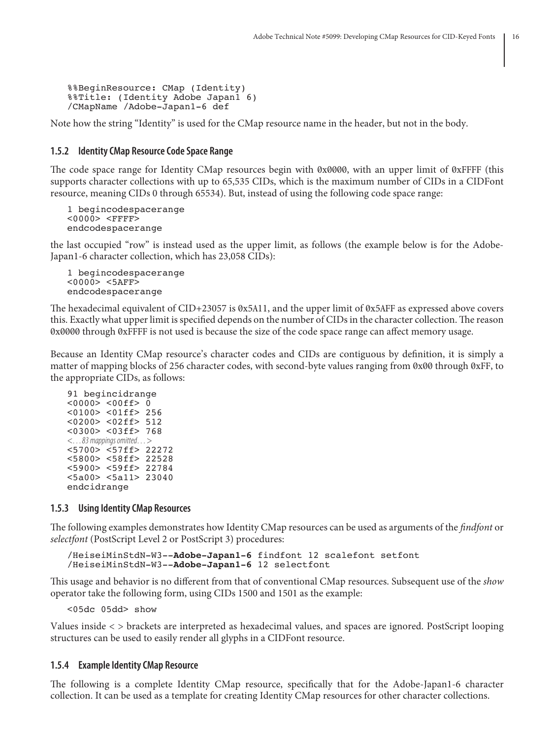```
%%BeginResource: CMap (Identity)
%%Title: (Identity Adobe Japan1 6)
/CMapName /Adobe-Japan1-6 def
```
Note how the string "Identity" is used for the CMap resource name in the header, but not in the body.

### **1.5.2 Identity CMap Resource Code Space Range**

The code space range for Identity CMap resources begin with 0x0000, with an upper limit of 0xFFFF (this supports character collections with up to 65,535 CIDs, which is the maximum number of CIDs in a CIDFont resource, meaning CIDs 0 through 65534). But, instead of using the following code space range:

```
1 begincodespacerange
<0000> <FFFF>
endcodespacerange
```
the last occupied "row" is instead used as the upper limit, as follows (the example below is for the Adobe-Japan1-6 character collection, which has 23,058 CIDs):

```
1 begincodespacerange
<0000> <5AFF>
endcodespacerange
```
The hexadecimal equivalent of CID+23057 is 0x5A11, and the upper limit of 0x5AFF as expressed above covers this. Exactly what upper limit is specified depends on the number of CIDs in the character collection. The reason 0x0000 through 0xFFFF is not used is because the size of the code space range can affect memory usage.

Because an Identity CMap resource's character codes and CIDs are contiguous by definition, it is simply a matter of mapping blocks of 256 character codes, with second-byte values ranging from 0x00 through 0xFF, to the appropriate CIDs, as follows:

```
91 begincidrange
<0000> <00ff> 0
<0100> <01ff> 256
<0200> <02ff> 512
<0300> <03ff> 768
<…83 mappings omitted…>
<5700> <57ff> 22272
<5800> <58ff> 22528
<5900> <59ff> 22784
<5a00> <5a11> 23040
endcidrange
```
#### **1.5.3 Using Identity CMap Resources**

The following examples demonstrates how Identity CMap resources can be used as arguments of the *findfont* or *selectfont* (PostScript Level 2 or PostScript 3) procedures:

```
/HeiseiMinStdN-W3--Adobe-Japan1-6 findfont 12 scalefont setfont
/HeiseiMinStdN-W3--Adobe-Japan1-6 12 selectfont
```
This usage and behavior is no different from that of conventional CMap resources. Subsequent use of the *show* operator take the following form, using CIDs 1500 and 1501 as the example:

<05dc 05dd> show

Values inside < > brackets are interpreted as hexadecimal values, and spaces are ignored. PostScript looping structures can be used to easily render all glyphs in a CIDFont resource.

#### **1.5.4 Example Identity CMap Resource**

The following is a complete Identity CMap resource, specifically that for the Adobe-Japan1-6 character collection. It can be used as a template for creating Identity CMap resources for other character collections.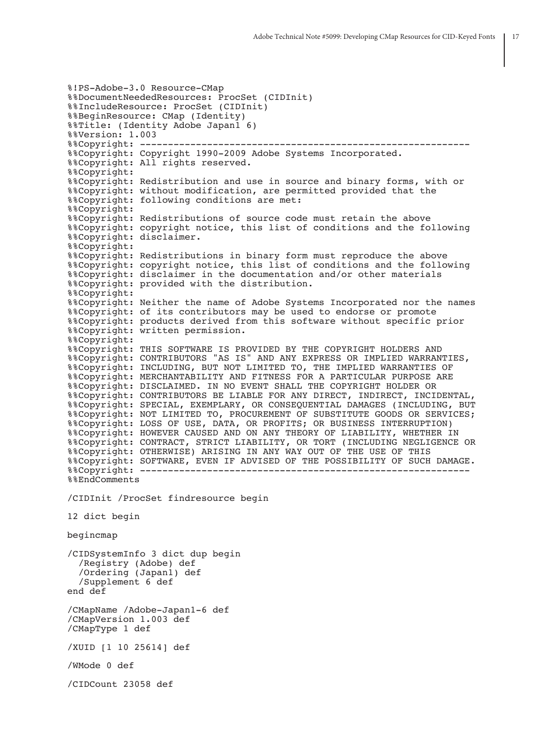```
%!PS-Adobe-3.0 Resource-CMap
%%DocumentNeededResources: ProcSet (CIDInit)
%%IncludeResource: ProcSet (CIDInit)
%%BeginResource: CMap (Identity)
%%Title: (Identity Adobe Japan1 6)
%%Version: 1.003
%%Copyright: -----------------------------------------------------------
%%Copyright: Copyright 1990-2009 Adobe Systems Incorporated.
%%Copyright: All rights reserved.
%%Copyright:
%%Copyright: Redistribution and use in source and binary forms, with or
%%Copyright: without modification, are permitted provided that the
%%Copyright: following conditions are met:
%%Copyright:
%%Copyright: Redistributions of source code must retain the above
%%Copyright: copyright notice, this list of conditions and the following
%%Copyright: disclaimer.
%%Copyright:
%%Copyright: Redistributions in binary form must reproduce the above
%%Copyright: copyright notice, this list of conditions and the following
%%Copyright: disclaimer in the documentation and/or other materials
%%Copyright: provided with the distribution.
%%Copyright:
%%Copyright: Neither the name of Adobe Systems Incorporated nor the names
%%Copyright: of its contributors may be used to endorse or promote
%%Copyright: products derived from this software without specific prior
%%Copyright: written permission.
%%Copyright:
%%Copyright: THIS SOFTWARE IS PROVIDED BY THE COPYRIGHT HOLDERS AND
%%Copyright: CONTRIBUTORS "AS IS" AND ANY EXPRESS OR IMPLIED WARRANTIES,
%%Copyright: INCLUDING, BUT NOT LIMITED TO, THE IMPLIED WARRANTIES OF
%%Copyright: MERCHANTABILITY AND FITNESS FOR A PARTICULAR PURPOSE ARE
%%Copyright: DISCLAIMED. IN NO EVENT SHALL THE COPYRIGHT HOLDER OR
%%Copyright: CONTRIBUTORS BE LIABLE FOR ANY DIRECT, INDIRECT, INCIDENTAL,
%%Copyright: SPECIAL, EXEMPLARY, OR CONSEQUENTIAL DAMAGES (INCLUDING, BUT
%%Copyright: NOT LIMITED TO, PROCUREMENT OF SUBSTITUTE GOODS OR SERVICES;
%%Copyright: LOSS OF USE, DATA, OR PROFITS; OR BUSINESS INTERRUPTION)
%%Copyright: HOWEVER CAUSED AND ON ANY THEORY OF LIABILITY, WHETHER IN
%%Copyright: CONTRACT, STRICT LIABILITY, OR TORT (INCLUDING NEGLIGENCE OR
%%Copyright: OTHERWISE) ARISING IN ANY WAY OUT OF THE USE OF THIS
%%Copyright: SOFTWARE, EVEN IF ADVISED OF THE POSSIBILITY OF SUCH DAMAGE.
%%Copyright: -----------------------------------------------------------
%%EndComments
/CIDInit /ProcSet findresource begin
12 dict begin
begincmap
/CIDSystemInfo 3 dict dup begin
   /Registry (Adobe) def
   /Ordering (Japan1) def
   /Supplement 6 def
end def
/CMapName /Adobe-Japan1-6 def
/CMapVersion 1.003 def
/CMapType 1 def
/XUID [1 10 25614] def
/WMode 0 def
/CIDCount 23058 def
```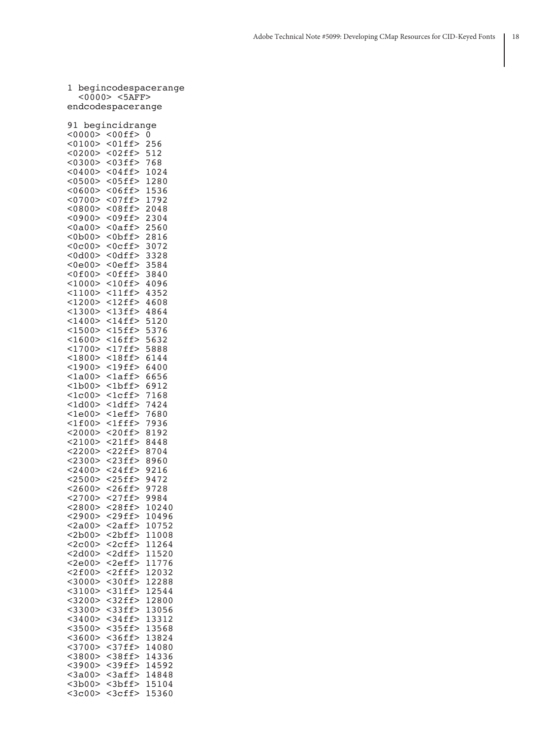|              | <0000> <5AFF>       |       |
|--------------|---------------------|-------|
|              | endcodespacerange   |       |
|              |                     |       |
| 91           | begincidrange       |       |
|              | $<$ 0000> $<$ 00ff> | 0     |
| < 0100       | $01ff$              | 256   |
| <0200>       | <02ff               | 512   |
| < 0300       | $03ff$              | 768   |
| < 0400       | $<$ 04ff>           | 1024  |
| < 0500       | $05ff$              | 1280  |
| < 0600       | $<$ 06ff>           | 1536  |
| < 0700       | $07ff$              | 1792  |
| < 0800       | $08ff$              | 2048  |
| <0900>       | $<$ 09ff>           | 2304  |
| <0a00>       | $0aff>$             | 2560  |
| <0b00        | <0bff>              | 2816  |
| <0c00>       | <0cff>              | 3072  |
| <0d00>       | <0dff>              | 3328  |
| <0e00>       | $0eff>$             | 3584  |
| < 0f00       | $<$ 0 f f f $>$     | 3840  |
| <1000>       | $<$ 10ff>           | 4096  |
| <1100>       | $<$ 11ff>           | 4352  |
| <1200>       | $<$ 12ff>           | 4608  |
| <1300>       | $<$ 13ff>           | 4864  |
| $<$ 1400>    | $<$ 14ff>           | 5120  |
| <1500>       | $<$ 15ff>           | 5376  |
| < 1600       | $16ff>$             | 5632  |
| <1700>       | $<$ 17ff>           | 5888  |
| $<$ 1800>    | $18ff$              | 6144  |
| $<$ 1900>    | $19ff$              | 6400  |
| <1a00>       | $1aff$              | 6656  |
| <1b00>       | <1bff>              | 6912  |
| <1c00>       | $1cff>$             | 7168  |
| $<$ 1d00 $>$ | $<$ ldff>           | 7424  |
| <1e00>       | <leff></leff>       | 7680  |
| $<$ 1f00>    | $<$ lfff>           | 7936  |
| <2000>       | $<$ 20ff>           | 8192  |
| <2100>       | $<$ 21ff>           | 8448  |
| <2200>       | $<$ 22ff>           | 8704  |
| < 2300       | $<$ 23ff>           | 8960  |
| < 2400       | $<$ 24ff>           | 9216  |
| <2500>       | $<$ 25ff>           | 9472  |
| < 2600       | $<$ 26ff>           | 9728  |
| $<$ 2700>    | $<$ 27ff>           | 9984  |
| < 2800       | $<$ 28ff>           | 10240 |
| <2900>       | $<$ 29ff>           | 10496 |
| <2a00>       | $2aff$              | 10752 |
| $<$ 2b00>    | $<$ 2bff>           | 11008 |
| <2c00>       | $2cff>$             | 11264 |
| $<$ 2d00>    | $<$ 2dff>           | 11520 |
| <2e00>       | $2eff>$             | 11776 |
| <2f00>       | $<$ 2fff>           | 12032 |
| $<$ 3000>    | $30ff$              | 12288 |
| <3100>       | $<$ 31ff>           | 12544 |
| <3200>       | $32ff$              | 12800 |
| $<$ 3300>    | $33ff$              | 13056 |
| $<$ 3400>    | $<$ 34ff>           | 13312 |
| $<$ 3500>    | $35ff$              | 13568 |
| $<$ 3600>    | $36ff$              | 13824 |
| <3700>       | $37ff$              | 14080 |
| $<$ 3800>    | $38ff$              | 14336 |
| $<$ 3900>    | <39ff>              | 14592 |
| $<$ 3a00 $>$ | $3aff$              | 14848 |
| $<$ 3b00>    | $<$ 3bff>           | 15104 |

<3c00> <3cff> 15360

1 begincodespacerange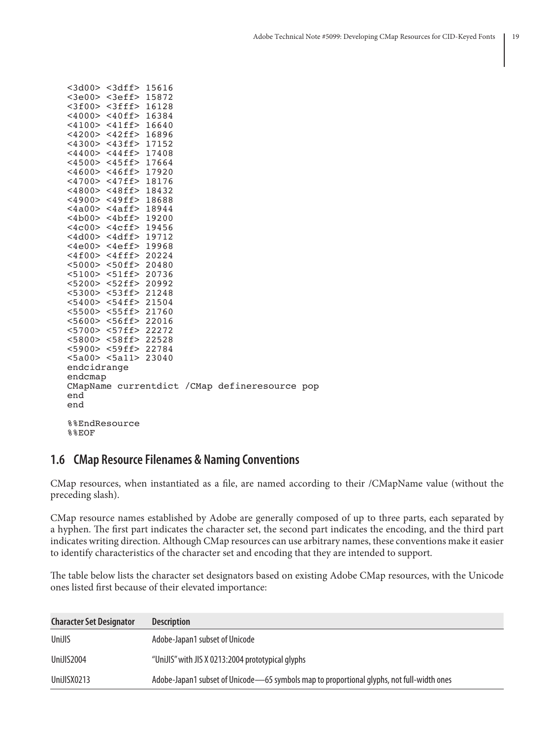|               | <3e00> <3eff> 15872       |  |                                                |  |
|---------------|---------------------------|--|------------------------------------------------|--|
|               | <3f00> <3fff> 16128       |  |                                                |  |
|               | <4000> <40ff> 16384       |  |                                                |  |
|               | $<$ 4100> <41ff> 16640    |  |                                                |  |
|               | <4200> <42ff> 16896       |  |                                                |  |
|               | $<$ 4300> <43ff> 17152    |  |                                                |  |
|               | <4400> <44ff> 17408       |  |                                                |  |
|               | $<$ 4500> <45ff> 17664    |  |                                                |  |
|               | $<$ 4600> <46ff> 17920    |  |                                                |  |
|               | $<4700>$ <47ff> 18176     |  |                                                |  |
|               | $<$ 4800> <48ff> 18432    |  |                                                |  |
|               | $<$ 4900> <49ff> 18688    |  |                                                |  |
|               | $<$ 4a00> $<$ 4aff> 18944 |  |                                                |  |
|               | <4b00> <4bff> 19200       |  |                                                |  |
|               | $<4c00>$ $<4cff>$ 19456   |  |                                                |  |
|               | <4d00> <4dff> 19712       |  |                                                |  |
|               | $<$ 4e00> $<$ 4eff> 19968 |  |                                                |  |
|               | $<$ 4f00> <4fff> 20224    |  |                                                |  |
|               | $<$ 5000> $<$ 50ff> 20480 |  |                                                |  |
|               | <5100> <51ff> 20736       |  |                                                |  |
|               | <5200> <52ff> 20992       |  |                                                |  |
|               | $<5300>$ $<53ff>$ 21248   |  |                                                |  |
|               | $<$ 5400> <54ff> 21504    |  |                                                |  |
|               | <5500> <55ff> 21760       |  |                                                |  |
|               | $<$ 5600> <56ff> 22016    |  |                                                |  |
|               | <5700> <57ff> 22272       |  |                                                |  |
|               | <5800> <58ff> 22528       |  |                                                |  |
|               | <5900> <59ff> 22784       |  |                                                |  |
|               | <5a00> <5a11> 23040       |  |                                                |  |
| endcidrange   |                           |  |                                                |  |
| endcmap       |                           |  |                                                |  |
|               |                           |  | CMapName currentdict / CMap defineresource pop |  |
| end           |                           |  |                                                |  |
| end           |                           |  |                                                |  |
|               |                           |  |                                                |  |
| %%EndResource |                           |  |                                                |  |
| <b>%%EOF</b>  |                           |  |                                                |  |

<3d00> <3dff> 15616

### **1.6 CMap Resource Filenames & Naming Conventions**

CMap resources, when instantiated as a file, are named according to their /CMapName value (without the preceding slash).

CMap resource names established by Adobe are generally composed of up to three parts, each separated by a hyphen. The first part indicates the character set, the second part indicates the encoding, and the third part indicates writing direction. Although CMap resources can use arbitrary names, these conventions make it easier to identify characteristics of the character set and encoding that they are intended to support.

The table below lists the character set designators based on existing Adobe CMap resources, with the Unicode ones listed first because of their elevated importance:

| <b>Character Set Designator</b> | <b>Description</b>                                                                        |
|---------------------------------|-------------------------------------------------------------------------------------------|
| UniJIS                          | Adobe-Japan1 subset of Unicode                                                            |
| UniJIS2004                      | "UniJIS" with JIS X 0213:2004 prototypical glyphs                                         |
| UniJISX0213                     | Adobe-Japan1 subset of Unicode—65 symbols map to proportional glyphs, not full-width ones |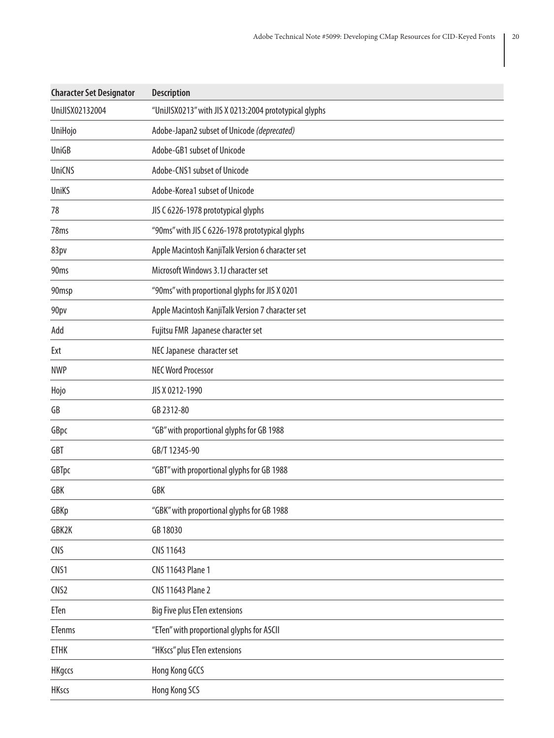| <b>Character Set Designator</b> | <b>Description</b>                                     |
|---------------------------------|--------------------------------------------------------|
| UniJISX02132004                 | "UniJISX0213" with JIS X 0213:2004 prototypical glyphs |
| UniHojo                         | Adobe-Japan2 subset of Unicode (deprecated)            |
| UniGB                           | Adobe-GB1 subset of Unicode                            |
| <b>UniCNS</b>                   | Adobe-CNS1 subset of Unicode                           |
| UniKS                           | Adobe-Korea1 subset of Unicode                         |
| 78                              | JIS C 6226-1978 prototypical glyphs                    |
| 78 <sub>ms</sub>                | "90ms" with JIS C 6226-1978 prototypical glyphs        |
| 83pv                            | Apple Macintosh KanjiTalk Version 6 character set      |
| 90 <sub>ms</sub>                | Microsoft Windows 3.1J character set                   |
| 90msp                           | "90ms" with proportional glyphs for JIS X 0201         |
| 90pv                            | Apple Macintosh KanjiTalk Version 7 character set      |
| Add                             | Fujitsu FMR Japanese character set                     |
| Ext                             | NEC Japanese character set                             |
| <b>NWP</b>                      | <b>NEC Word Processor</b>                              |
| Hojo                            | JIS X 0212-1990                                        |
| GB                              | GB 2312-80                                             |
| GBpc                            | "GB" with proportional glyphs for GB 1988              |
| <b>GBT</b>                      | GB/T 12345-90                                          |
| GBTpc                           | "GBT" with proportional glyphs for GB 1988             |
| GBK                             | <b>GBK</b>                                             |
| GBKp                            | "GBK" with proportional glyphs for GB 1988             |
| GBK2K                           | GB 18030                                               |
| <b>CNS</b>                      | CNS 11643                                              |
| CNS1                            | CNS 11643 Plane 1                                      |
| CNS <sub>2</sub>                | CNS 11643 Plane 2                                      |
| ETen                            | <b>Big Five plus ETen extensions</b>                   |
| <b>ETenms</b>                   | "ETen" with proportional glyphs for ASCII              |
| <b>ETHK</b>                     | "HKscs" plus ETen extensions                           |
| <b>HKgccs</b>                   | Hong Kong GCCS                                         |
| <b>HKscs</b>                    | Hong Kong SCS                                          |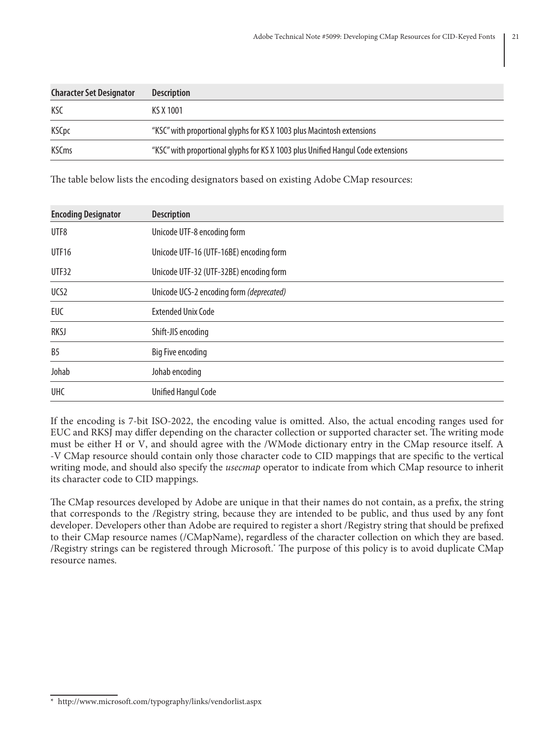| <b>Character Set Designator</b> | <b>Description</b>                                                               |
|---------------------------------|----------------------------------------------------------------------------------|
| KSC                             | KS X 1001                                                                        |
| <b>KSCpc</b>                    | "KSC" with proportional glyphs for KS X 1003 plus Macintosh extensions           |
| <b>KSCms</b>                    | "KSC" with proportional glyphs for KS X 1003 plus Unified Hangul Code extensions |

The table below lists the encoding designators based on existing Adobe CMap resources:

| <b>Encoding Designator</b> | <b>Description</b>                       |
|----------------------------|------------------------------------------|
| UTF8                       | Unicode UTF-8 encoding form              |
| <b>UTF16</b>               | Unicode UTF-16 (UTF-16BE) encoding form  |
| UTF32                      | Unicode UTF-32 (UTF-32BE) encoding form  |
| UCS2                       | Unicode UCS-2 encoding form (deprecated) |
| <b>EUC</b>                 | <b>Extended Unix Code</b>                |
| RKSJ                       | Shift-JIS encoding                       |
| B <sub>5</sub>             | Big Five encoding                        |
| Johab                      | Johab encoding                           |
| <b>UHC</b>                 | <b>Unified Hangul Code</b>               |

If the encoding is 7-bit ISO-2022, the encoding value is omitted. Also, the actual encoding ranges used for EUC and RKSJ may differ depending on the character collection or supported character set. The writing mode must be either H or V, and should agree with the /WMode dictionary entry in the CMap resource itself. A -V CMap resource should contain only those character code to CID mappings that are specific to the vertical writing mode, and should also specify the *usecmap* operator to indicate from which CMap resource to inherit its character code to CID mappings.

The CMap resources developed by Adobe are unique in that their names do not contain, as a prefix, the string that corresponds to the /Registry string, because they are intended to be public, and thus used by any font developer. Developers other than Adobe are required to register a short /Registry string that should be prefixed to their CMap resource names (/CMapName), regardless of the character collection on which they are based. /Registry strings can be registered through Microsoft.\* The purpose of this policy is to avoid duplicate CMap resource names.

<sup>\*</sup> http://www.microsoft.com/typography/links/vendorlist.aspx